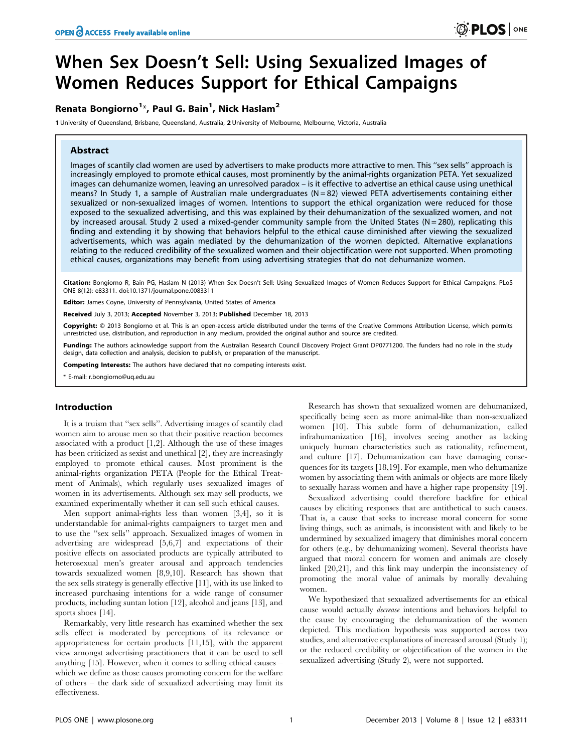# When Sex Doesn't Sell: Using Sexualized Images of Women Reduces Support for Ethical Campaigns

# Renata Bongiorno<sup>1\*</sup>, Paul G. Bain<sup>1</sup>, Nick Haslam<sup>2</sup>

1 University of Queensland, Brisbane, Queensland, Australia, 2 University of Melbourne, Melbourne, Victoria, Australia

# Abstract

Images of scantily clad women are used by advertisers to make products more attractive to men. This ''sex sells'' approach is increasingly employed to promote ethical causes, most prominently by the animal-rights organization PETA. Yet sexualized images can dehumanize women, leaving an unresolved paradox – is it effective to advertise an ethical cause using unethical means? In Study 1, a sample of Australian male undergraduates  $(N = 82)$  viewed PETA advertisements containing either sexualized or non-sexualized images of women. Intentions to support the ethical organization were reduced for those exposed to the sexualized advertising, and this was explained by their dehumanization of the sexualized women, and not by increased arousal. Study 2 used a mixed-gender community sample from the United States ( $N = 280$ ), replicating this finding and extending it by showing that behaviors helpful to the ethical cause diminished after viewing the sexualized advertisements, which was again mediated by the dehumanization of the women depicted. Alternative explanations relating to the reduced credibility of the sexualized women and their objectification were not supported. When promoting ethical causes, organizations may benefit from using advertising strategies that do not dehumanize women.

Citation: Bongiorno R, Bain PG, Haslam N (2013) When Sex Doesn't Sell: Using Sexualized Images of Women Reduces Support for Ethical Campaigns. PLoS ONE 8(12): e83311. doi:10.1371/journal.pone.0083311

Editor: James Coyne, University of Pennsylvania, United States of America

Received July 3, 2013; Accepted November 3, 2013; Published December 18, 2013

Copyright: © 2013 Bongiorno et al. This is an open-access article distributed under the terms of the Creative Commons Attribution License, which permits unrestricted use, distribution, and reproduction in any medium, provided the original author and source are credited.

Funding: The authors acknowledge support from the Australian Research Council Discovery Project Grant DP0771200. The funders had no role in the study design, data collection and analysis, decision to publish, or preparation of the manuscript.

Competing Interests: The authors have declared that no competing interests exist.

\* E-mail: r.bongiorno@uq.edu.au

## Introduction

It is a truism that ''sex sells''. Advertising images of scantily clad women aim to arouse men so that their positive reaction becomes associated with a product [1,2]. Although the use of these images has been criticized as sexist and unethical [2], they are increasingly employed to promote ethical causes. Most prominent is the animal-rights organization PETA (People for the Ethical Treatment of Animals), which regularly uses sexualized images of women in its advertisements. Although sex may sell products, we examined experimentally whether it can sell such ethical causes.

Men support animal-rights less than women [3,4], so it is understandable for animal-rights campaigners to target men and to use the ''sex sells'' approach. Sexualized images of women in advertising are widespread [5,6,7] and expectations of their positive effects on associated products are typically attributed to heterosexual men's greater arousal and approach tendencies towards sexualized women [8,9,10]. Research has shown that the sex sells strategy is generally effective [11], with its use linked to increased purchasing intentions for a wide range of consumer products, including suntan lotion [12], alcohol and jeans [13], and sports shoes [14].

Remarkably, very little research has examined whether the sex sells effect is moderated by perceptions of its relevance or appropriateness for certain products [11,15], with the apparent view amongst advertising practitioners that it can be used to sell anything [15]. However, when it comes to selling ethical causes – which we define as those causes promoting concern for the welfare of others – the dark side of sexualized advertising may limit its effectiveness.

Research has shown that sexualized women are dehumanized, specifically being seen as more animal-like than non-sexualized women [10]. This subtle form of dehumanization, called infrahumanization [16], involves seeing another as lacking uniquely human characteristics such as rationality, refinement, and culture [17]. Dehumanization can have damaging consequences for its targets [18,19]. For example, men who dehumanize women by associating them with animals or objects are more likely to sexually harass women and have a higher rape propensity [19].

Sexualized advertising could therefore backfire for ethical causes by eliciting responses that are antithetical to such causes. That is, a cause that seeks to increase moral concern for some living things, such as animals, is inconsistent with and likely to be undermined by sexualized imagery that diminishes moral concern for others (e.g., by dehumanizing women). Several theorists have argued that moral concern for women and animals are closely linked [20,21], and this link may underpin the inconsistency of promoting the moral value of animals by morally devaluing women.

We hypothesized that sexualized advertisements for an ethical cause would actually decrease intentions and behaviors helpful to the cause by encouraging the dehumanization of the women depicted. This mediation hypothesis was supported across two studies, and alternative explanations of increased arousal (Study 1); or the reduced credibility or objectification of the women in the sexualized advertising (Study 2), were not supported.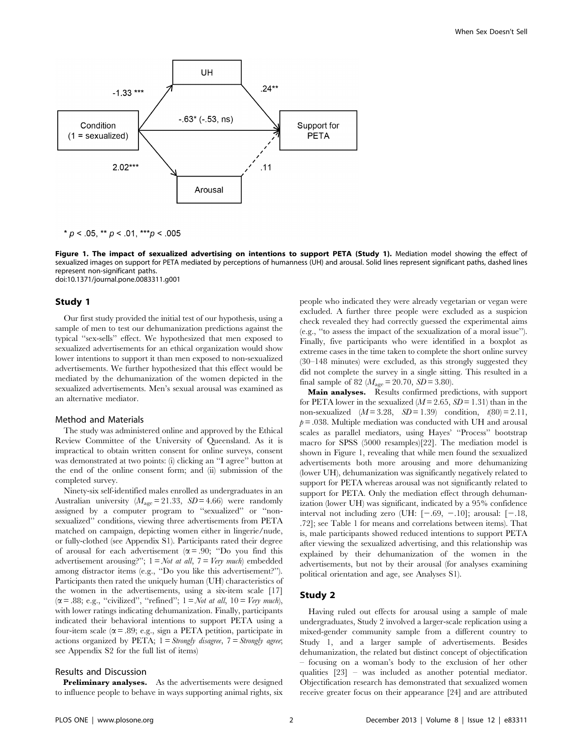

\*  $p$  < .05, \*\*  $p$  < .01, \*\*\*  $p$  < .005

Figure 1. The impact of sexualized advertising on intentions to support PETA (Study 1). Mediation model showing the effect of sexualized images on support for PETA mediated by perceptions of humanness (UH) and arousal. Solid lines represent significant paths, dashed lines represent non-significant paths. doi:10.1371/journal.pone.0083311.g001

#### Study 1

Our first study provided the initial test of our hypothesis, using a sample of men to test our dehumanization predictions against the typical ''sex-sells'' effect. We hypothesized that men exposed to sexualized advertisements for an ethical organization would show lower intentions to support it than men exposed to non-sexualized advertisements. We further hypothesized that this effect would be mediated by the dehumanization of the women depicted in the sexualized advertisements. Men's sexual arousal was examined as an alternative mediator.

#### Method and Materials

The study was administered online and approved by the Ethical Review Committee of the University of Queensland. As it is impractical to obtain written consent for online surveys, consent was demonstrated at two points: (i) clicking an ''I agree'' button at the end of the online consent form; and (ii) submission of the completed survey.

Ninety-six self-identified males enrolled as undergraduates in an Australian university ( $M_{\text{age}} = 21.33$ ,  $SD = 4.66$ ) were randomly assigned by a computer program to ''sexualized'' or ''nonsexualized'' conditions, viewing three advertisements from PETA matched on campaign, depicting women either in lingerie/nude, or fully-clothed (see Appendix S1). Participants rated their degree of arousal for each advertisement ( $\alpha$  = .90; "Do you find this advertisement arousing?";  $1 = Not$  at all,  $7 = Very$  much) embedded among distractor items (e.g., ''Do you like this advertisement?''). Participants then rated the uniquely human (UH) characteristics of the women in the advertisements, using a six-item scale [17]  $(\alpha = .88; e.g.,$  "civilized", "refined";  $1 = Not$  at all,  $10 = Very$  much), with lower ratings indicating dehumanization. Finally, participants indicated their behavioral intentions to support PETA using a four-item scale ( $\alpha$  = .89; e.g., sign a PETA petition, participate in actions organized by PETA;  $1 =$  Strongly disagree,  $7 =$  Strongly agree; see Appendix S2 for the full list of items)

#### Results and Discussion

Preliminary analyses. As the advertisements were designed to influence people to behave in ways supporting animal rights, six people who indicated they were already vegetarian or vegan were excluded. A further three people were excluded as a suspicion check revealed they had correctly guessed the experimental aims (e.g., ''to assess the impact of the sexualization of a moral issue''). Finally, five participants who were identified in a boxplot as extreme cases in the time taken to complete the short online survey (30–148 minutes) were excluded, as this strongly suggested they did not complete the survey in a single sitting. This resulted in a final sample of 82 ( $M_{\text{age}} = 20.70$ ,  $SD = 3.80$ ).

Main analyses. Results confirmed predictions, with support for PETA lower in the sexualized  $(M = 2.65, SD = 1.31)$  than in the non-sexualized  $(M = 3.28, SD = 1.39)$  condition,  $t(80) = 2.11$ ,  $p = 0.038$ . Multiple mediation was conducted with UH and arousal scales as parallel mediators, using Hayes' ''Process'' bootstrap macro for SPSS (5000 resamples)[22]. The mediation model is shown in Figure 1, revealing that while men found the sexualized advertisements both more arousing and more dehumanizing (lower UH), dehumanization was significantly negatively related to support for PETA whereas arousal was not significantly related to support for PETA. Only the mediation effect through dehumanization (lower UH) was significant, indicated by a 95% confidence interval not including zero (UH:  $[-.69, -.10]$ ; arousal:  $[-.18,$ .72]; see Table 1 for means and correlations between items). That is, male participants showed reduced intentions to support PETA after viewing the sexualized advertising, and this relationship was explained by their dehumanization of the women in the advertisements, but not by their arousal (for analyses examining political orientation and age, see Analyses S1).

# Study 2

Having ruled out effects for arousal using a sample of male undergraduates, Study 2 involved a larger-scale replication using a mixed-gender community sample from a different country to Study 1, and a larger sample of advertisements. Besides dehumanization, the related but distinct concept of objectification – focusing on a woman's body to the exclusion of her other qualities [23] – was included as another potential mediator. Objectification research has demonstrated that sexualized women receive greater focus on their appearance [24] and are attributed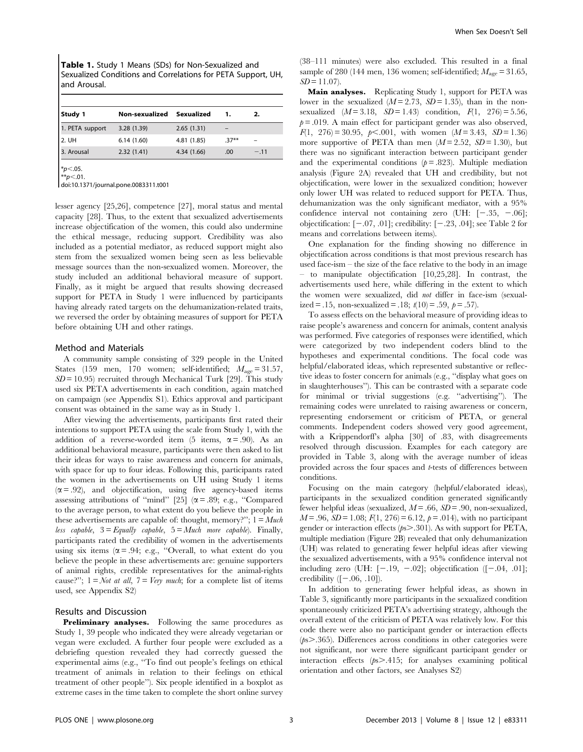Table 1. Study 1 Means (SDs) for Non-Sexualized and Sexualized Conditions and Correlations for PETA Support, UH, and Arousal.

| Study 1         | Non-sexualized | Sexualized  | 1.      | 2.     |
|-----------------|----------------|-------------|---------|--------|
| 1. PETA support | 3.28 (1.39)    | 2.65(1.31)  |         |        |
| 2. UH           | 6.14(1.60)     | 4.81 (1.85) | $.37**$ |        |
| 3. Arousal      | 2.32(1.41)     | 4.34 (1.66) | .00     | $-.11$ |
|                 |                |             |         |        |

 $*p<.05$ .  $*p<.01$ .

doi:10.1371/journal.pone.0083311.t001

lesser agency [25,26], competence [27], moral status and mental capacity [28]. Thus, to the extent that sexualized advertisements increase objectification of the women, this could also undermine the ethical message, reducing support. Credibility was also included as a potential mediator, as reduced support might also stem from the sexualized women being seen as less believable message sources than the non-sexualized women. Moreover, the study included an additional behavioral measure of support. Finally, as it might be argued that results showing decreased support for PETA in Study 1 were influenced by participants having already rated targets on the dehumanization-related traits, we reversed the order by obtaining measures of support for PETA before obtaining UH and other ratings.

# Method and Materials

A community sample consisting of 329 people in the United States (159 men, 170 women; self-identified;  $M_{\text{age}} = 31.57$ ,  $SD = 10.95$ ) recruited through Mechanical Turk [29]. This study used six PETA advertisements in each condition, again matched on campaign (see Appendix S1). Ethics approval and participant consent was obtained in the same way as in Study 1.

After viewing the advertisements, participants first rated their intentions to support PETA using the scale from Study 1, with the addition of a reverse-worded item (5 items,  $\alpha$  = .90). As an additional behavioral measure, participants were then asked to list their ideas for ways to raise awareness and concern for animals, with space for up to four ideas. Following this, participants rated the women in the advertisements on UH using Study 1 items  $(\alpha = .92)$ , and objectification, using five agency-based items assessing attributions of "mind" [25] ( $\alpha$  = .89; e.g., "Compared to the average person, to what extent do you believe the people in these advertisements are capable of: thought, memory?";  $1 = Much$ less capable,  $3 =$  Equally capable,  $5 =$  Much more capable). Finally, participants rated the credibility of women in the advertisements using six items ( $\alpha$  = .94; e.g., "Overall, to what extent do you believe the people in these advertisements are: genuine supporters of animal rights, credible representatives for the animal-rights cause?";  $1 = Not$  at all,  $7 = Very$  much; for a complete list of items used, see Appendix S2)

# Results and Discussion

Preliminary analyses. Following the same procedures as Study 1, 39 people who indicated they were already vegetarian or vegan were excluded. A further four people were excluded as a debriefing question revealed they had correctly guessed the experimental aims (e.g., ''To find out people's feelings on ethical treatment of animals in relation to their feelings on ethical treatment of other people''). Six people identified in a boxplot as extreme cases in the time taken to complete the short online survey

(38–111 minutes) were also excluded. This resulted in a final sample of 280 (144 men, 136 women; self-identified;  $M_{\text{age}} = 31.65$ ,  $SD = 11.07$ .

Main analyses. Replicating Study 1, support for PETA was lower in the sexualized  $(M=2.73, SD=1.35)$ , than in the nonsexualized  $(M = 3.18, SD = 1.43)$  condition,  $F(1, 276) = 5.56$ ,  $p = .019$ . A main effect for participant gender was also observed,  $F(1, 276) = 30.95, p \le .001$ , with women  $(M = 3.43, SD = 1.36)$ more supportive of PETA than men  $(M = 2.52, SD = 1.30)$ , but there was no significant interaction between participant gender and the experimental conditions  $(p = .823)$ . Multiple mediation analysis (Figure 2A) revealed that UH and credibility, but not objectification, were lower in the sexualized condition; however only lower UH was related to reduced support for PETA. Thus, dehumanization was the only significant mediator, with a 95% confidence interval not containing zero (UH:  $[-.35, -.06]$ ; objectification:  $[-.07, .01]$ ; credibility:  $[-.23, .04]$ ; see Table 2 for means and correlations between items).

One explanation for the finding showing no difference in objectification across conditions is that most previous research has used face-ism – the size of the face relative to the body in an image – to manipulate objectification [10,25,28]. In contrast, the advertisements used here, while differing in the extent to which the women were sexualized, did not differ in face-ism (sexualized = .15, non-sexualized = .18;  $t(10) = .59$ ,  $p = .57$ ).

To assess effects on the behavioral measure of providing ideas to raise people's awareness and concern for animals, content analysis was performed. Five categories of responses were identified, which were categorized by two independent coders blind to the hypotheses and experimental conditions. The focal code was helpful/elaborated ideas, which represented substantive or reflective ideas to foster concern for animals (e.g., ''display what goes on in slaughterhouses''). This can be contrasted with a separate code for minimal or trivial suggestions (e.g. ''advertising''). The remaining codes were unrelated to raising awareness or concern, representing endorsement or criticism of PETA, or general comments. Independent coders showed very good agreement, with a Krippendorff's alpha [30] of .83, with disagreements resolved through discussion. Examples for each category are provided in Table 3, along with the average number of ideas provided across the four spaces and t-tests of differences between conditions.

Focusing on the main category (helpful/elaborated ideas), participants in the sexualized condition generated significantly fewer helpful ideas (sexualized,  $M = .66$ ,  $SD = .90$ , non-sexualized,  $M = .96$ ,  $SD = 1.08$ ;  $F(1, 276) = 6.12$ ,  $p = .014$ ), with no participant gender or interaction effects  $(p_s > .301)$ . As with support for PETA, multiple mediation (Figure 2B) revealed that only dehumanization (UH) was related to generating fewer helpful ideas after viewing the sexualized advertisements, with a 95% confidence interval not including zero (UH:  $[-.19, -.02]$ ; objectification ( $[-.04, .01]$ ; credibility  $([-.06, .10])$ .

In addition to generating fewer helpful ideas, as shown in Table 3, significantly more participants in the sexualized condition spontaneously criticized PETA's advertising strategy, although the overall extent of the criticism of PETA was relatively low. For this code there were also no participant gender or interaction effects  $(p_s > .365)$ . Differences across conditions in other categories were not significant, nor were there significant participant gender or interaction effects  $(p_s > .415;$  for analyses examining political orientation and other factors, see Analyses S2)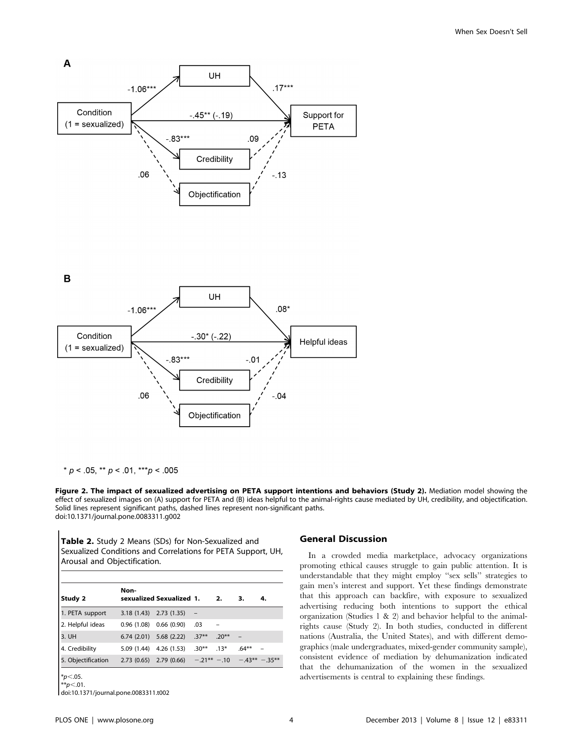

\*  $p$  < .05, \*\*  $p$  < .01, \*\*\*  $p$  < .005

Figure 2. The impact of sexualized advertising on PETA support intentions and behaviors (Study 2). Mediation model showing the effect of sexualized images on (A) support for PETA and (B) ideas helpful to the animal-rights cause mediated by UH, credibility, and objectification. Solid lines represent significant paths, dashed lines represent non-significant paths. doi:10.1371/journal.pone.0083311.g002

Table 2. Study 2 Means (SDs) for Non-Sexualized and Sexualized Conditions and Correlations for PETA Support, UH, Arousal and Objectification.

|                    | Non-                      |                                                        |                   |         |          |    |
|--------------------|---------------------------|--------------------------------------------------------|-------------------|---------|----------|----|
| Study 2            |                           | sexualized Sexualized 1.                               |                   | 2.      | з.       | 4. |
| 1. PETA support    | $3.18(1.43)$ $2.73(1.35)$ |                                                        | $\qquad \qquad -$ |         |          |    |
| 2. Helpful ideas   | $0.96(1.08)$ $0.66(0.90)$ |                                                        | .03               |         |          |    |
| 3. UH              | $6.74(2.01)$ $5.68(2.22)$ |                                                        | $.37**$           | $.20**$ |          |    |
| 4. Credibility     | $5.09(1.44)$ $4.26(1.53)$ |                                                        | $.30**$           | $.13*$  | $.64***$ |    |
| 5. Objectification |                           | 2.73 (0.65) 2.79 (0.66) $-.21***$ -.10 $-.43**$ -.35** |                   |         |          |    |
| $*_{p<.05}$        |                           |                                                        |                   |         |          |    |
| ** $p$ < 01.       |                           |                                                        |                   |         |          |    |

doi:10.1371/journal.pone.0083311.t002

# General Discussion

In a crowded media marketplace, advocacy organizations promoting ethical causes struggle to gain public attention. It is understandable that they might employ ''sex sells'' strategies to gain men's interest and support. Yet these findings demonstrate that this approach can backfire, with exposure to sexualized advertising reducing both intentions to support the ethical organization (Studies 1 & 2) and behavior helpful to the animalrights cause (Study 2). In both studies, conducted in different nations (Australia, the United States), and with different demographics (male undergraduates, mixed-gender community sample), consistent evidence of mediation by dehumanization indicated that the dehumanization of the women in the sexualized advertisements is central to explaining these findings.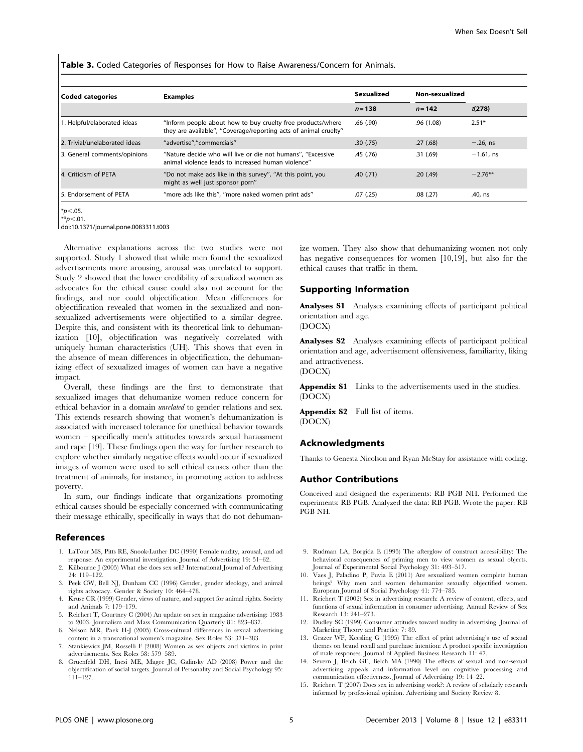Table 3. Coded Categories of Responses for How to Raise Awareness/Concern for Animals.

| Coded categories               | <b>Examples</b>                                                                                                                 | Sexualized<br>$n = 138$ | Non-sexualized |              |
|--------------------------------|---------------------------------------------------------------------------------------------------------------------------------|-------------------------|----------------|--------------|
|                                |                                                                                                                                 |                         | $n = 142$      | t(278)       |
| 1. Helpful/elaborated ideas    | "Inform people about how to buy cruelty free products/where<br>they are available", "Coverage/reporting acts of animal cruelty" | .66(.90)                | .96(1.08)      | $2.51*$      |
| 2. Trivial/unelaborated ideas  | "advertise","commercials"                                                                                                       | .30(.75)                | .27(68)        | $-.26, ns$   |
| 3. General comments/opinions   | "Nature decide who will live or die not humans", "Excessive<br>animal violence leads to increased human violence"               | .45(.76)                | .31(.69)       | $-1.61$ , ns |
| 4. Criticism of PETA           | "Do not make ads like in this survey", "At this point, you<br>might as well just sponsor porn"                                  | .40(.71)                | .20(.49)       | $-2.76***$   |
| <b>15. Endorsement of PETA</b> | "more ads like this", "more naked women print ads"                                                                              | .07(.25)                | .08(.27)       | .40, ns      |

 $*p<.05$ .  $*p<.01$ .

doi:10.1371/journal.pone.0083311.t003

Alternative explanations across the two studies were not supported. Study 1 showed that while men found the sexualized advertisements more arousing, arousal was unrelated to support. Study 2 showed that the lower credibility of sexualized women as advocates for the ethical cause could also not account for the findings, and nor could objectification. Mean differences for objectification revealed that women in the sexualized and nonsexualized advertisements were objectified to a similar degree. Despite this, and consistent with its theoretical link to dehumanization [10], objectification was negatively correlated with uniquely human characteristics (UH). This shows that even in the absence of mean differences in objectification, the dehumanizing effect of sexualized images of women can have a negative impact.

Overall, these findings are the first to demonstrate that sexualized images that dehumanize women reduce concern for ethical behavior in a domain unrelated to gender relations and sex. This extends research showing that women's dehumanization is associated with increased tolerance for unethical behavior towards women – specifically men's attitudes towards sexual harassment and rape [19]. These findings open the way for further research to explore whether similarly negative effects would occur if sexualized images of women were used to sell ethical causes other than the treatment of animals, for instance, in promoting action to address poverty.

In sum, our findings indicate that organizations promoting ethical causes should be especially concerned with communicating their message ethically, specifically in ways that do not dehuman-

#### References

- 1. LaTour MS, Pitts RE, Snook-Luther DC (1990) Female nudity, arousal, and ad response: An experimental investigation. Journal of Advertising 19: 51–62.
- 2. Kilbourne J (2005) What else does sex sell? International Journal of Advertising 24: 119–122.
- 3. Peek CW, Bell NJ, Dunham CC (1996) Gender, gender ideology, and animal rights advocacy. Gender & Society 10: 464–478.
- 4. Kruse CR (1999) Gender, views of nature, and support for animal rights. Society and Animals 7: 179–179.
- 5. Reichert T, Courtney C (2004) An update on sex in magazine advertising: 1983 to 2003. Journalism and Mass Communication Quarterly 81: 823–837.
- 6. Nelson MR, Paek H-J (2005) Cross-cultural differences in sexual advertising content in a transnational women's magazine. Sex Roles 53: 371–383.
- 7. Stankiewicz JM, Rosselli F (2008) Women as sex objects and victims in print advertisements. Sex Roles 58: 579–589.
- 8. Gruenfeld DH, Inesi ME, Magee JC, Galinsky AD (2008) Power and the objectification of social targets. Journal of Personality and Social Psychology 95: 111–127.

ize women. They also show that dehumanizing women not only has negative consequences for women [10,19], but also for the ethical causes that traffic in them.

# Supporting Information

Analyses S1 Analyses examining effects of participant political orientation and age.

(DOCX)

Analyses S2 Analyses examining effects of participant political orientation and age, advertisement offensiveness, familiarity, liking and attractiveness. (DOCX)

Appendix S1 Links to the advertisements used in the studies. (DOCX)

Appendix S2 Full list of items. (DOCX)

# Acknowledgments

Thanks to Genesta Nicolson and Ryan McStay for assistance with coding.

# Author Contributions

Conceived and designed the experiments: RB PGB NH. Performed the experiments: RB PGB. Analyzed the data: RB PGB. Wrote the paper: RB PGB NH.

- 9. Rudman LA, Borgida E (1995) The afterglow of construct accessibility: The behavioral consequences of priming men to view women as sexual objects. Journal of Experimental Social Psychology 31: 493–517.
- 10. Vaes J, Paladino P, Puvia E (2011) Are sexualized women complete human beings? Why men and women dehumanize sexually objectified women. European Journal of Social Psychology 41: 774–785.
- 11. Reichert T (2002) Sex in advertising research: A review of content, effects, and functions of sexual information in consumer advertising. Annual Review of Sex Research 13: 241–273.
- 12. Dudley SC (1999) Consumer attitudes toward nudity in advertising. Journal of Marketing Theory and Practice 7: 89.
- 13. Grazer WF, Keesling G (1995) The effect of print advertising's use of sexual themes on brand recall and purchase intention: A product specific investigation of male responses. Journal of Applied Business Research 11: 47.
- 14. Severn J, Belch GE, Belch MA (1990) The effects of sexual and non-sexual advertising appeals and information level on cognitive processing and communication effectiveness. Journal of Advertising 19: 14–22.
- 15. Reichert T (2007) Does sex in advertising work?: A review of scholarly research informed by professional opinion. Advertising and Society Review 8.